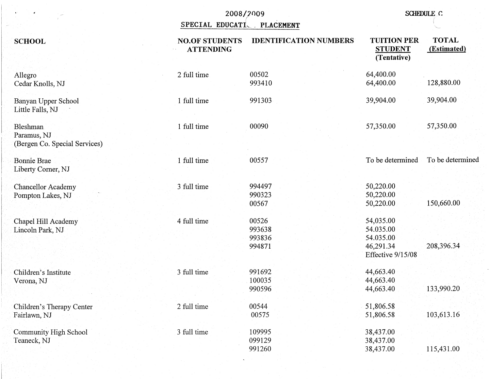|                                                          |                                           | 2008/2009<br>SPECIAL EDUCATI PLACEMENT |                                                                       | <b>SCHEDULE C</b>           |  |
|----------------------------------------------------------|-------------------------------------------|----------------------------------------|-----------------------------------------------------------------------|-----------------------------|--|
| <b>SCHOOL</b>                                            | <b>NO.OF STUDENTS</b><br><b>ATTENDING</b> | <b>IDENTIFICATION NUMBERS</b>          | <b>TUITION PER</b><br><b>STUDENT</b><br>(Tentative)                   | <b>TOTAL</b><br>(Estimated) |  |
| Allegro<br>Cedar Knolls, NJ                              | 2 full time                               | 00502<br>993410                        | 64,400.00<br>64,400.00                                                | 128,880.00                  |  |
| Banyan Upper School<br>Little Falls, NJ                  | 1 full time                               | 991303                                 | 39,904.00                                                             | 39,904.00                   |  |
| Bleshman<br>Paramus, NJ<br>(Bergen Co. Special Services) | 1 full time                               | 00090                                  | 57,350.00                                                             | 57,350.00                   |  |
| <b>Bonnie Brae</b><br>Liberty Corner, NJ                 | 1 full time                               | 00557                                  | To be determined                                                      | To be determined            |  |
| <b>Chancellor Academy</b><br>Pompton Lakes, NJ           | 3 full time                               | 994497<br>990323<br>00567              | 50,220.00<br>50,220.00<br>50,220.00                                   | 150,660.00                  |  |
| Chapel Hill Academy<br>Lincoln Park, NJ                  | 4 full time                               | 00526<br>993638<br>993836<br>994871    | 54,035.00<br>54.035.00<br>54.035.00<br>46,291.34<br>Effective 9/15/08 | 208,396.34                  |  |
| Children's Institute<br>Verona, NJ                       | 3 full time                               | 991692<br>100035<br>990596             | 44,663.40<br>44,663.40<br>44,663.40                                   | 133,990.20                  |  |
| Children's Therapy Center<br>Fairlawn, NJ                | 2 full time                               | 00544<br>00575                         | 51,806.58<br>51,806.58                                                | 103,613.16                  |  |
| Community High School<br>Teaneck, NJ                     | 3 full time                               | 109995<br>099129<br>991260             | 38,437.00<br>38,437.00<br>38,437.00                                   | 115,431.00                  |  |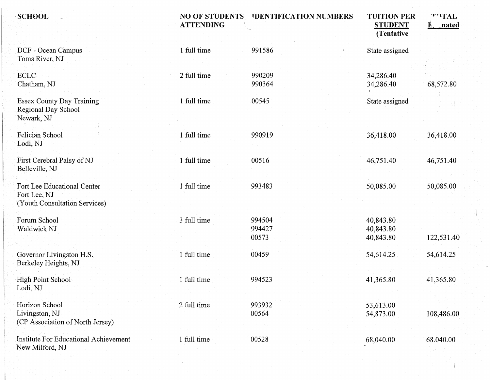| <b>SCHOOL</b>                                                                | <b>NO OF STUDENTS</b><br><b>ATTENDING</b> | <b>IDENTIFICATION NUMBERS</b> | <b>TUITION PER</b><br><b>STUDENT</b><br>(Tentative) | TOTAL<br><b>E</b> nated |
|------------------------------------------------------------------------------|-------------------------------------------|-------------------------------|-----------------------------------------------------|-------------------------|
| DCF - Ocean Campus<br>Toms River, NJ                                         | 1 full time                               | 991586                        | State assigned                                      |                         |
| ECLC<br>Chatham, NJ                                                          | 2 full time                               | 990209<br>990364              | 34,286.40<br>34,286.40                              | 68,572.80               |
| <b>Essex County Day Training</b><br>Regional Day School<br>Newark, NJ        | 1 full time                               | 00545                         | State assigned                                      |                         |
| Felician School<br>Lodi, NJ                                                  | 1 full time                               | 990919                        | 36,418.00                                           | 36,418.00               |
| First Cerebral Palsy of NJ<br>Belleville, NJ                                 | 1 full time                               | 00516                         | 46,751.40                                           | 46,751.40               |
| Fort Lee Educational Center<br>Fort Lee, NJ<br>(Youth Consultation Services) | 1 full time                               | 993483                        | 50,085.00                                           | 50,085.00               |
| Forum School<br>Waldwick NJ                                                  | 3 full time                               | 994504<br>994427<br>00573     | 40,843.80<br>40,843.80<br>40,843.80                 | 122,531.40              |
| Governor Livingston H.S.<br>Berkeley Heights, NJ                             | 1 full time                               | 00459                         | 54,614.25                                           | 54,614.25               |
| <b>High Point School</b><br>Lodi, NJ                                         | 1 full time                               | 994523                        | 41,365.80                                           | 41,365.80               |
| Horizon School<br>Livingston, NJ<br>(CP Association of North Jersey)         | 2 full time                               | 993932<br>00564               | 53,613.00<br>54,873.00                              | 108,486.00              |
| <b>Institute For Educational Achievement</b><br>New Milford, NJ              | 1 full time                               | 00528                         | 68,040.00                                           | 68.040.00               |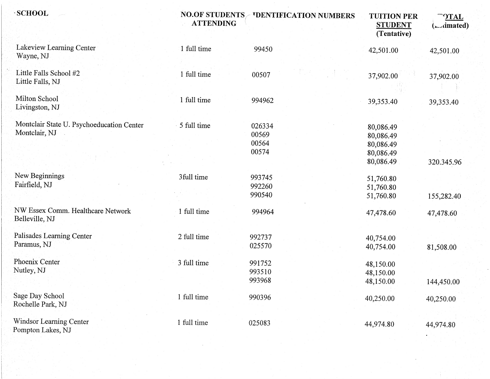| <b>SCHOOL</b>                                              | <b>NO.OF STUDENTS</b><br><b>ATTENDING</b> | <b>'DENTIFICATION NUMBERS</b>     | <b>TUITION PER</b><br><b>STUDENT</b><br>(Tentative)           | <b>OTAL</b><br>$(\Box$ dmated) |
|------------------------------------------------------------|-------------------------------------------|-----------------------------------|---------------------------------------------------------------|--------------------------------|
| Lakeview Learning Center<br>Wayne, NJ                      | 1 full time                               | 99450                             | 42,501.00                                                     | 42,501.00                      |
| Little Falls School #2<br>Little Falls, NJ                 | 1 full time                               | 00507                             | 37,902.00                                                     | 37,902.00                      |
| Milton School<br>Livingston, NJ                            | 1 full time                               | 994962                            | 39,353.40                                                     | 39,353.40                      |
| Montclair State U. Psychoeducation Center<br>Montclair, NJ | 5 full time                               | 026334<br>00569<br>00564<br>00574 | 80,086.49<br>80,086.49<br>80,086.49<br>80,086.49<br>80,086.49 | 320.345.96                     |
| New Beginnings<br>Fairfield, NJ                            | 3full time                                | 993745<br>992260<br>990540        | 51,760.80<br>51,760.80<br>51,760.80                           | 155,282.40                     |
| NW Essex Comm. Healthcare Network<br>Belleville, NJ        | 1 full time                               | 994964                            | 47,478.60                                                     | 47,478.60                      |
| Palisades Learning Center<br>Paramus, NJ                   | 2 full time                               | 992737<br>025570                  | 40,754.00<br>40,754.00                                        | 81,508.00                      |
| Phoenix Center<br>Nutley, NJ                               | 3 full time                               | 991752<br>993510<br>993968        | 48,150.00<br>48,150.00<br>48,150.00                           | 144,450.00                     |
| Sage Day School<br>Rochelle Park, NJ                       | 1 full time                               | 990396                            | 40,250.00                                                     | 40,250.00                      |
| Windsor Learning Center<br>Pompton Lakes, NJ               | 1 full time                               | 025083                            | 44,974.80                                                     | 44,974.80                      |